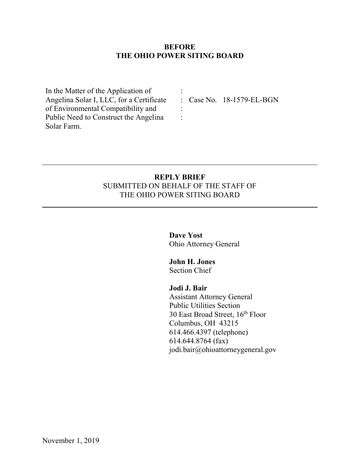## **BEFORE THE OHIO POWER SITING BOARD**

:

: :

In the Matter of the Application of Angelina Solar I, LLC, for a Certificate of Environmental Compatibility and Public Need to Construct the Angelina Solar Farm.

: Case No. 18-1579-EL-BGN

# **REPLY BRIEF** SUBMITTED ON BEHALF OF THE STAFF OF THE OHIO POWER SITING BOARD

**Dave Yost** Ohio Attorney General

**John H. Jones** Section Chief

**Jodi J. Bair**

Assistant Attorney General Public Utilities Section 30 East Broad Street, 16th Floor Columbus, OH 43215 614.466.4397 (telephone) 614.644.8764 (fax) [jodi.bair@ohioattorneygeneral.gov](mailto:jodi.bair@ohioattorneygeneral.gov)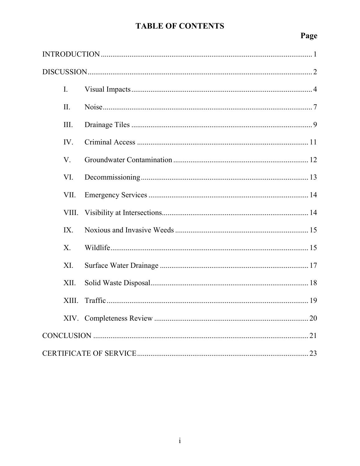# **TABLE OF CONTENTS**

# Page

| $\mathbf{I}$ . |  |
|----------------|--|
| II.            |  |
| III.           |  |
| IV.            |  |
| V.             |  |
| VI.            |  |
| VII.           |  |
| VIII.          |  |
| IX.            |  |
| $X_{\cdot}$    |  |
| XI.            |  |
| XII.           |  |
| XIII.          |  |
|                |  |
|                |  |
|                |  |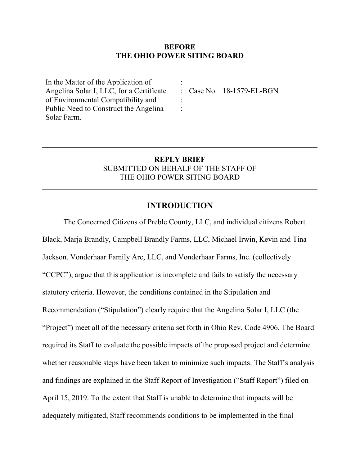#### **BEFORE THE OHIO POWER SITING BOARD**

:

: :

In the Matter of the Application of Angelina Solar I, LLC, for a Certificate of Environmental Compatibility and Public Need to Construct the Angelina Solar Farm.

: Case No. 18-1579-EL-BGN

# **REPLY BRIEF** SUBMITTED ON BEHALF OF THE STAFF OF THE OHIO POWER SITING BOARD

#### **INTRODUCTION**

<span id="page-2-0"></span>The Concerned Citizens of Preble County, LLC, and individual citizens Robert Black, Marja Brandly, Campbell Brandly Farms, LLC, Michael Irwin, Kevin and Tina Jackson, Vonderhaar Family Arc, LLC, and Vonderhaar Farms, Inc. (collectively "CCPC"), argue that this application is incomplete and fails to satisfy the necessary statutory criteria. However, the conditions contained in the Stipulation and Recommendation ("Stipulation") clearly require that the Angelina Solar I, LLC (the "Project") meet all of the necessary criteria set forth in Ohio Rev. Code 4906. The Board required its Staff to evaluate the possible impacts of the proposed project and determine whether reasonable steps have been taken to minimize such impacts. The Staff's analysis and findings are explained in the Staff Report of Investigation ("Staff Report") filed on April 15, 2019. To the extent that Staff is unable to determine that impacts will be adequately mitigated, Staff recommends conditions to be implemented in the final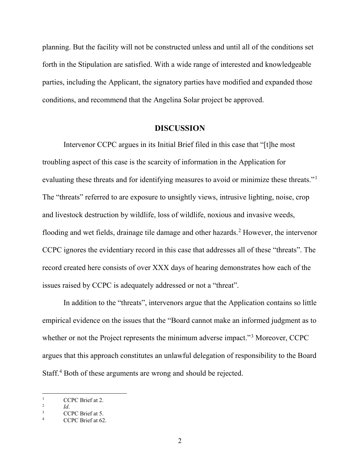planning. But the facility will not be constructed unless and until all of the conditions set forth in the Stipulation are satisfied. With a wide range of interested and knowledgeable parties, including the Applicant, the signatory parties have modified and expanded those conditions, and recommend that the Angelina Solar project be approved.

#### <span id="page-3-0"></span>**DISCUSSION**

Intervenor CCPC argues in its Initial Brief filed in this case that "[t]he most troubling aspect of this case is the scarcity of information in the Application for evaluating these threats and for identifying measures to avoid or minimize these threats."[1](#page-3-3) The "threats" referred to are exposure to unsightly views, intrusive lighting, noise, crop and livestock destruction by wildlife, loss of wildlife, noxious and invasive weeds, flooding and wet fields, drainage tile damage and other hazards.<sup>[2](#page-3-4)</sup> However, the intervenor CCPC ignores the evidentiary record in this case that addresses all of these "threats". The record created here consists of over XXX days of hearing demonstrates how each of the issues raised by CCPC is adequately addressed or not a "threat".

In addition to the "threats", intervenors argue that the Application contains so little empirical evidence on the issues that the "Board cannot make an informed judgment as to whether or not the Project represents the minimum adverse impact."<sup>[3](#page-3-1)</sup> Moreover, CCPC argues that this approach constitutes an unlawful delegation of responsibility to the Board Staff.<sup>[4](#page-3-2)</sup> Both of these arguments are wrong and should be rejected.

<span id="page-3-3"></span><sup>&</sup>lt;sup>1</sup> CCPC Brief at 2.

<span id="page-3-4"></span> $\frac{2}{3}$  *Id.* 

<span id="page-3-2"></span><span id="page-3-1"></span> $\frac{3}{4}$  CCPC Brief at 5.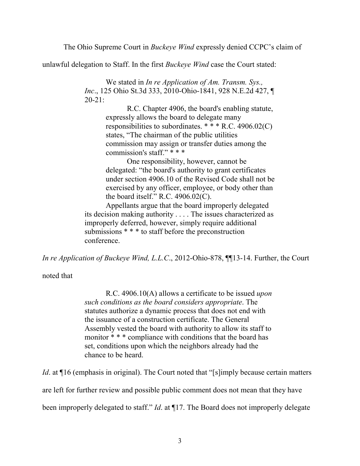The Ohio Supreme Court in *Buckeye Wind* expressly denied CCPC's claim of

unlawful delegation to Staff. In the first *Buckeye Wind* case the Court stated:

We stated in *In re Application of Am. Transm. Sys., Inc*., 125 Ohio St.3d 333, 2010-Ohio-1841, 928 N.E.2d 427, ¶ 20-21:

> R.C. Chapter 4906, the board's enabling statute, expressly allows the board to delegate many responsibilities to subordinates. \* \* \* R.C. 4906.02(C) states, "The chairman of the public utilities commission may assign or transfer duties among the commission's staff." \* \* \*

One responsibility, however, cannot be delegated: "the board's authority to grant certificates under section 4906.10 of the Revised Code shall not be exercised by any officer, employee, or body other than the board itself." R.C.  $4906.02(C)$ .

Appellants argue that the board improperly delegated its decision making authority . . . . The issues characterized as improperly deferred, however, simply require additional submissions \* \* \* to staff before the preconstruction conference.

*In re Application of Buckeye Wind, L.L.C*., 2012-Ohio-878, ¶¶13-14. Further, the Court

noted that

R.C. 4906.10(A) allows a certificate to be issued *upon such conditions as the board considers appropriate*. The statutes authorize a dynamic process that does not end with the issuance of a construction certificate. The General Assembly vested the board with authority to allow its staff to monitor \* \* \* compliance with conditions that the board has set, conditions upon which the neighbors already had the chance to be heard.

*Id.* at  $\P$ 16 (emphasis in original). The Court noted that "[s]imply because certain matters

are left for further review and possible public comment does not mean that they have

been improperly delegated to staff." *Id*. at ¶17. The Board does not improperly delegate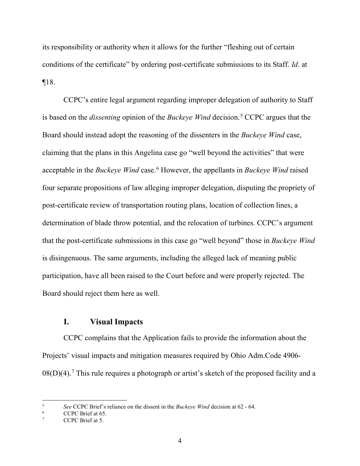its responsibility or authority when it allows for the further "fleshing out of certain conditions of the certificate" by ordering post-certificate submissions to its Staff. *Id*. at ¶18.

CCPC's entire legal argument regarding improper delegation of authority to Staff is based on the *dissenting* opinion of the *Buckeye Wind* decision.[5](#page-5-3) CCPC argues that the Board should instead adopt the reasoning of the dissenters in the *Buckeye Wind* case, claiming that the plans in this Angelina case go "well beyond the activities" that were acceptable in the *Buckeye Wind* case.[6](#page-5-2) However, the appellants in *Buckeye Wind* raised four separate propositions of law alleging improper delegation, disputing the propriety of post-certificate review of transportation routing plans, location of collection lines, a determination of blade throw potential, and the relocation of turbines. CCPC's argument that the post-certificate submissions in this case go "well beyond" those in *Buckeye Wind* is disingenuous. The same arguments, including the alleged lack of meaning public participation, have all been raised to the Court before and were properly rejected. The Board should reject them here as well.

# <span id="page-5-0"></span>**I. Visual Impacts**

CCPC complains that the Application fails to provide the information about the Projects' visual impacts and mitigation measures required by Ohio Adm.Code 4906-  $08(D)(4)$ .<sup>[7](#page-5-1)</sup> This rule requires a photograph or artist's sketch of the proposed facility and a

<span id="page-5-3"></span><sup>5</sup> *See* CCPC Brief's reliance on the dissent in the *Buckeye Wind* decision at 62 - 64.

<span id="page-5-2"></span> $\frac{6}{7}$  CCPC Brief at 65.

<span id="page-5-1"></span>CCPC Brief at 5.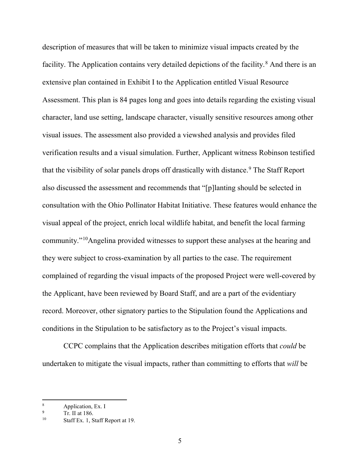description of measures that will be taken to minimize visual impacts created by the facility. The Application contains very detailed depictions of the facility.<sup>[8](#page-6-2)</sup> And there is an extensive plan contained in Exhibit I to the Application entitled Visual Resource Assessment. This plan is 84 pages long and goes into details regarding the existing visual character, land use setting, landscape character, visually sensitive resources among other visual issues. The assessment also provided a viewshed analysis and provides filed verification results and a visual simulation. Further, Applicant witness Robinson testified that the visibility of solar panels drops off drastically with distance.<sup>[9](#page-6-1)</sup> The Staff Report also discussed the assessment and recommends that "[p]lanting should be selected in consultation with the Ohio Pollinator Habitat Initiative. These features would enhance the visual appeal of the project, enrich local wildlife habitat, and benefit the local farming community."[10](#page-6-0)Angelina provided witnesses to support these analyses at the hearing and they were subject to cross-examination by all parties to the case. The requirement complained of regarding the visual impacts of the proposed Project were well-covered by the Applicant, have been reviewed by Board Staff, and are a part of the evidentiary record. Moreover, other signatory parties to the Stipulation found the Applications and conditions in the Stipulation to be satisfactory as to the Project's visual impacts.

CCPC complains that the Application describes mitigation efforts that *could* be undertaken to mitigate the visual impacts, rather than committing to efforts that *will* be

<span id="page-6-2"></span><sup>8</sup> Application, Ex. I

<span id="page-6-1"></span> $\frac{9}{10}$  Tr. II at 186.

<span id="page-6-0"></span>Staff Ex. 1, Staff Report at 19.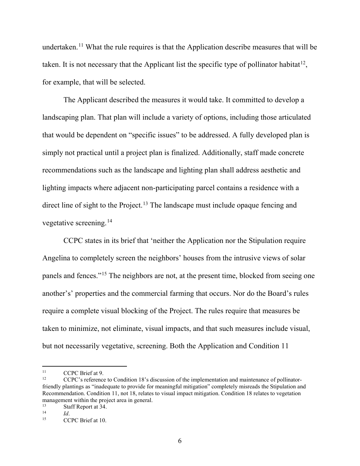undertaken.<sup>[11](#page-7-3)</sup> What the rule requires is that the Application describe measures that will be taken. It is not necessary that the Applicant list the specific type of pollinator habitat<sup>12</sup>, for example, that will be selected.

The Applicant described the measures it would take. It committed to develop a landscaping plan. That plan will include a variety of options, including those articulated that would be dependent on "specific issues" to be addressed. A fully developed plan is simply not practical until a project plan is finalized. Additionally, staff made concrete recommendations such as the landscape and lighting plan shall address aesthetic and lighting impacts where adjacent non-participating parcel contains a residence with a direct line of sight to the Project.<sup>[13](#page-7-2)</sup> The landscape must include opaque fencing and vegetative screening. [14](#page-7-0)

CCPC states in its brief that 'neither the Application nor the Stipulation require Angelina to completely screen the neighbors' houses from the intrusive views of solar panels and fences."<sup>[15](#page-7-1)</sup> The neighbors are not, at the present time, blocked from seeing one another's' properties and the commercial farming that occurs. Nor do the Board's rules require a complete visual blocking of the Project. The rules require that measures be taken to minimize, not eliminate, visual impacts, and that such measures include visual, but not necessarily vegetative, screening. Both the Application and Condition 11

<span id="page-7-3"></span> $11$  $11 \text{ CCPC Brief at 9.}$ 

<span id="page-7-4"></span><sup>12</sup> CCPC's reference to Condition 18's discussion of the implementation and maintenance of pollinatorfriendly plantings as "inadequate to provide for meaningful mitigation" completely misreads the Stipulation and Recommendation. Condition 11, not 18, relates to visual impact mitigation. Condition 18 relates to vegetation management within the project area in general.<br> $13$  Staff Penert at  $34$ .

<span id="page-7-2"></span><sup>&</sup>lt;sup>13</sup> Staff Report at 34.

<span id="page-7-1"></span><span id="page-7-0"></span> $\frac{14}{15}$  *Id.* 

CCPC Brief at 10.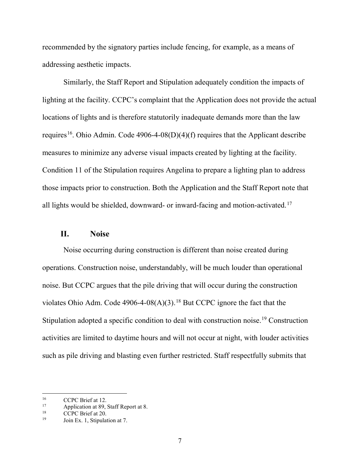recommended by the signatory parties include fencing, for example, as a means of addressing aesthetic impacts.

Similarly, the Staff Report and Stipulation adequately condition the impacts of lighting at the facility. CCPC's complaint that the Application does not provide the actual locations of lights and is therefore statutorily inadequate demands more than the law requires<sup>[16](#page-8-3)</sup>. Ohio Admin. Code 4906-4-08(D)(4)(f) requires that the Applicant describe measures to minimize any adverse visual impacts created by lighting at the facility. Condition 11 of the Stipulation requires Angelina to prepare a lighting plan to address those impacts prior to construction. Both the Application and the Staff Report note that all lights would be shielded, downward- or inward-facing and motion-activated.[17](#page-8-4)

#### <span id="page-8-0"></span>**II. Noise**

Noise occurring during construction is different than noise created during operations. Construction noise, understandably, will be much louder than operational noise. But CCPC argues that the pile driving that will occur during the construction violates Ohio Adm. Code  $4906-4-08(A)(3)$ .<sup>[18](#page-8-1)</sup> But CCPC ignore the fact that the Stipulation adopted a specific condition to deal with construction noise.<sup>[19](#page-8-2)</sup> Construction activities are limited to daytime hours and will not occur at night, with louder activities such as pile driving and blasting even further restricted. Staff respectfully submits that

<span id="page-8-3"></span><sup>&</sup>lt;sup>16</sup> CCPC Brief at 12.<br><sup>17</sup> Application at 89.9

<span id="page-8-4"></span><sup>&</sup>lt;sup>17</sup> Application at 89, Staff Report at 8.<br> $CPC$  Priof at 20.

<span id="page-8-2"></span><span id="page-8-1"></span><sup>&</sup>lt;sup>18</sup> CCPC Brief at 20.

Join Ex. 1, Stipulation at 7.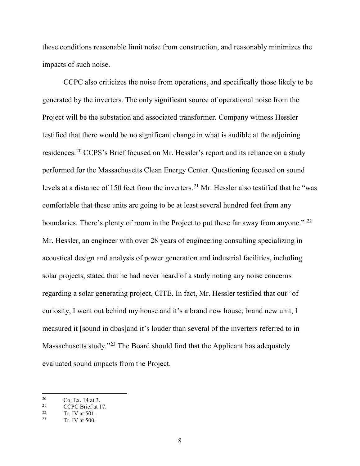these conditions reasonable limit noise from construction, and reasonably minimizes the impacts of such noise.

CCPC also criticizes the noise from operations, and specifically those likely to be generated by the inverters. The only significant source of operational noise from the Project will be the substation and associated transformer. Company witness Hessler testified that there would be no significant change in what is audible at the adjoining residences.[20](#page-9-2) CCPS's Brief focused on Mr. Hessler's report and its reliance on a study performed for the Massachusetts Clean Energy Center. Questioning focused on sound levels at a distance of 150 feet from the inverters.<sup>[21](#page-9-3)</sup> Mr. Hessler also testified that he "was comfortable that these units are going to be at least several hundred feet from any boundaries. There's plenty of room in the Project to put these far away from anyone." <sup>[22](#page-9-0)</sup> Mr. Hessler, an engineer with over 28 years of engineering consulting specializing in acoustical design and analysis of power generation and industrial facilities, including solar projects, stated that he had never heard of a study noting any noise concerns regarding a solar generating project, CITE. In fact, Mr. Hessler testified that out "of curiosity, I went out behind my house and it's a brand new house, brand new unit, I measured it [sound in dbas]and it's louder than several of the inverters referred to in Massachusetts study."[23](#page-9-1) The Board should find that the Applicant has adequately evaluated sound impacts from the Project.

<span id="page-9-2"></span> $20$  Co. Ex. 14 at 3.<br>21 CCDC Priof at 1

<span id="page-9-3"></span><sup>&</sup>lt;sup>21</sup> CCPC Brief at 17.<br><sup>22</sup>  $T_{\text{R}}$   $N/$  at 501

<span id="page-9-1"></span><span id="page-9-0"></span> $\frac{22}{23}$  Tr. IV at 501.

Tr. IV at 500.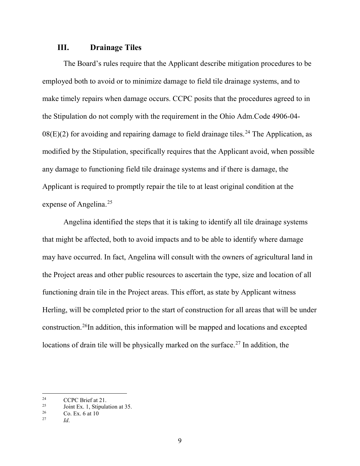#### <span id="page-10-0"></span>**III. Drainage Tiles**

The Board's rules require that the Applicant describe mitigation procedures to be employed both to avoid or to minimize damage to field tile drainage systems, and to make timely repairs when damage occurs. CCPC posits that the procedures agreed to in the Stipulation do not comply with the requirement in the Ohio Adm.Code 4906-04-  $08(E)(2)$  for avoiding and repairing damage to field drainage tiles.<sup>[24](#page-10-3)</sup> The Application, as modified by the Stipulation, specifically requires that the Applicant avoid, when possible any damage to functioning field tile drainage systems and if there is damage, the Applicant is required to promptly repair the tile to at least original condition at the expense of Angelina. [25](#page-10-4)

Angelina identified the steps that it is taking to identify all tile drainage systems that might be affected, both to avoid impacts and to be able to identify where damage may have occurred. In fact, Angelina will consult with the owners of agricultural land in the Project areas and other public resources to ascertain the type, size and location of all functioning drain tile in the Project areas. This effort, as state by Applicant witness Herling, will be completed prior to the start of construction for all areas that will be under construction.[26I](#page-10-1)n addition, this information will be mapped and locations and excepted locations of drain tile will be physically marked on the surface.[27](#page-10-2) In addition, the

<span id="page-10-3"></span><sup>&</sup>lt;sup>24</sup> CCPC Brief at 21.

<span id="page-10-4"></span><sup>&</sup>lt;sup>25</sup> Joint Ex. 1, Stipulation at 35.

<span id="page-10-2"></span><span id="page-10-1"></span> $\frac{26}{27}$  Co. Ex. 6 at 10

*Id*.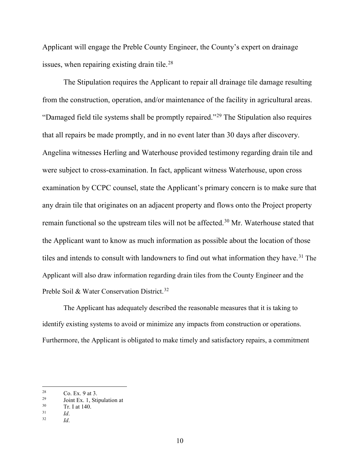Applicant will engage the Preble County Engineer, the County's expert on drainage issues, when repairing existing drain tile.<sup>[28](#page-11-3)</sup>

The Stipulation requires the Applicant to repair all drainage tile damage resulting from the construction, operation, and/or maintenance of the facility in agricultural areas. "Damaged field tile systems shall be promptly repaired."[29](#page-11-4) The Stipulation also requires that all repairs be made promptly, and in no event later than 30 days after discovery. Angelina witnesses Herling and Waterhouse provided testimony regarding drain tile and were subject to cross-examination. In fact, applicant witness Waterhouse, upon cross examination by CCPC counsel, state the Applicant's primary concern is to make sure that any drain tile that originates on an adjacent property and flows onto the Project property remain functional so the upstream tiles will not be affected.<sup>[30](#page-11-2)</sup> Mr. Waterhouse stated that the Applicant want to know as much information as possible about the location of those tiles and intends to consult with landowners to find out what information they have.<sup>[31](#page-11-0)</sup> The Applicant will also draw information regarding drain tiles from the County Engineer and the Preble Soil & Water Conservation District.<sup>[32](#page-11-1)</sup>

The Applicant has adequately described the reasonable measures that it is taking to identify existing systems to avoid or minimize any impacts from construction or operations. Furthermore, the Applicant is obligated to make timely and satisfactory repairs, a commitment

<span id="page-11-3"></span><sup>28</sup> 

<span id="page-11-4"></span><sup>&</sup>lt;sup>28</sup> Co. Ex. 9 at 3.<br><sup>29</sup> Joint Ex. 1, Stipulation at<br><sup>30</sup> T<sub>r</sub> I at 140

<span id="page-11-2"></span> $\frac{30}{31}$  Tr. I at 140.

<span id="page-11-1"></span><span id="page-11-0"></span> $\frac{31}{32}$  *Id.* 

<sup>32</sup> *Id*.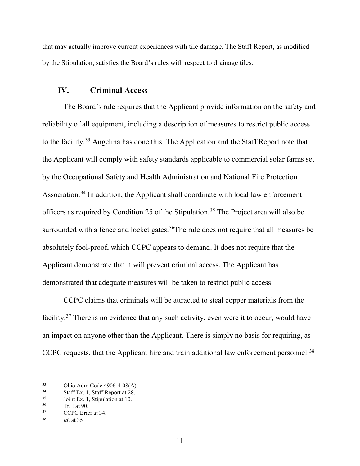that may actually improve current experiences with tile damage. The Staff Report, as modified by the Stipulation, satisfies the Board's rules with respect to drainage tiles.

#### <span id="page-12-0"></span>**IV. Criminal Access**

The Board's rule requires that the Applicant provide information on the safety and reliability of all equipment, including a description of measures to restrict public access to the facility.[33](#page-12-4) Angelina has done this. The Application and the Staff Report note that the Applicant will comply with safety standards applicable to commercial solar farms set by the Occupational Safety and Health Administration and National Fire Protection Association.<sup>[34](#page-12-5)</sup> In addition, the Applicant shall coordinate with local law enforcement officers as required by Condition 25 of the Stipulation.<sup>[35](#page-12-6)</sup> The Project area will also be surrounded with a fence and locket gates.<sup>36</sup>The rule does not require that all measures be absolutely fool-proof, which CCPC appears to demand. It does not require that the Applicant demonstrate that it will prevent criminal access. The Applicant has demonstrated that adequate measures will be taken to restrict public access.

CCPC claims that criminals will be attracted to steal copper materials from the facility.<sup>[37](#page-12-2)</sup> There is no evidence that any such activity, even were it to occur, would have an impact on anyone other than the Applicant. There is simply no basis for requiring, as CCPC requests, that the Applicant hire and train additional law enforcement personnel.<sup>[38](#page-12-3)</sup>

<span id="page-12-5"></span><span id="page-12-4"></span> $33$ 33 Ohio Adm.Code 4906-4-08(A).<br>
34 Staff Ex. 1, Staff Report at 28.<br>
35 Joint Ex. 1, Stipulation at 10.<br>  $\frac{36}{1}$  Tr. 1 at 90.

<span id="page-12-6"></span>

<span id="page-12-1"></span> $\frac{36}{37}$  Tr. I at 90.

<span id="page-12-2"></span>CCPC Brief at 34.

<span id="page-12-3"></span><sup>38</sup> *Id*. at 35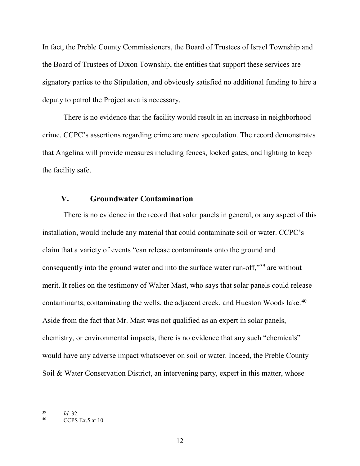In fact, the Preble County Commissioners, the Board of Trustees of Israel Township and the Board of Trustees of Dixon Township, the entities that support these services are signatory parties to the Stipulation, and obviously satisfied no additional funding to hire a deputy to patrol the Project area is necessary.

There is no evidence that the facility would result in an increase in neighborhood crime. CCPC's assertions regarding crime are mere speculation. The record demonstrates that Angelina will provide measures including fences, locked gates, and lighting to keep the facility safe.

# <span id="page-13-0"></span>**V. Groundwater Contamination**

There is no evidence in the record that solar panels in general, or any aspect of this installation, would include any material that could contaminate soil or water. CCPC's claim that a variety of events "can release contaminants onto the ground and consequently into the ground water and into the surface water run-off,"[39](#page-13-2) are without merit. It relies on the testimony of Walter Mast, who says that solar panels could release contaminants, contaminating the wells, the adjacent creek, and Hueston Woods lake.<sup>[40](#page-13-1)</sup> Aside from the fact that Mr. Mast was not qualified as an expert in solar panels, chemistry, or environmental impacts, there is no evidence that any such "chemicals" would have any adverse impact whatsoever on soil or water. Indeed, the Preble County Soil & Water Conservation District, an intervening party, expert in this matter, whose

<span id="page-13-2"></span>l <sup>39</sup> *Id*. 32.

<span id="page-13-1"></span>CCPS Ex.5 at  $10$ .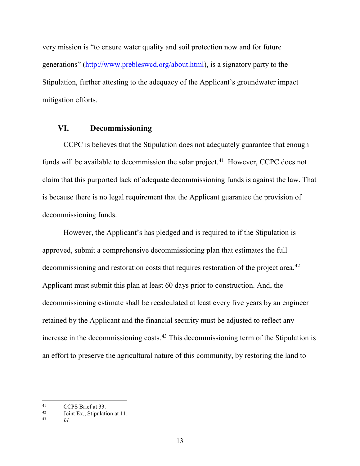very mission is "to ensure water quality and soil protection now and for future generations" [\(http://www.prebleswcd.org/about.html\)](http://www.prebleswcd.org/about.html), is a signatory party to the Stipulation, further attesting to the adequacy of the Applicant's groundwater impact mitigation efforts.

#### <span id="page-14-0"></span>**VI. Decommissioning**

CCPC is believes that the Stipulation does not adequately guarantee that enough funds will be available to decommission the solar project.<sup>[41](#page-14-3)</sup> However, CCPC does not claim that this purported lack of adequate decommissioning funds is against the law. That is because there is no legal requirement that the Applicant guarantee the provision of decommissioning funds.

However, the Applicant's has pledged and is required to if the Stipulation is approved, submit a comprehensive decommissioning plan that estimates the full decommissioning and restoration costs that requires restoration of the project area.<sup>[42](#page-14-1)</sup> Applicant must submit this plan at least 60 days prior to construction. And, the decommissioning estimate shall be recalculated at least every five years by an engineer retained by the Applicant and the financial security must be adjusted to reflect any increase in the decommissioning costs.<sup>[43](#page-14-2)</sup> This decommissioning term of the Stipulation is an effort to preserve the agricultural nature of this community, by restoring the land to

<span id="page-14-3"></span> $41$  $\frac{41}{42}$  CCPS Brief at 33.

<span id="page-14-2"></span><span id="page-14-1"></span> $\frac{42}{43}$  Joint Ex., Stipulation at 11.

<sup>43</sup> *Id*.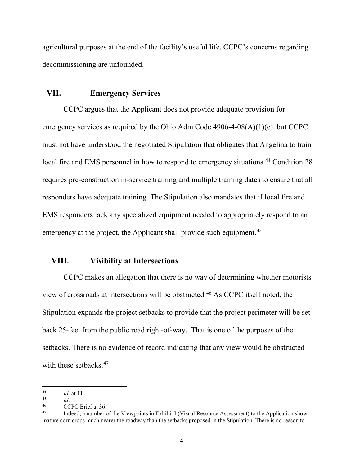agricultural purposes at the end of the facility's useful life. CCPC's concerns regarding decommissioning are unfounded.

#### <span id="page-15-1"></span>**VII. Emergency Services**

CCPC argues that the Applicant does not provide adequate provision for emergency services as required by the Ohio Adm.Code 4906-4-08(A)(1)(e). but CCPC must not have understood the negotiated Stipulation that obligates that Angelina to train local fire and EMS personnel in how to respond to emergency situations.<sup>[44](#page-15-4)</sup> Condition 28 requires pre-construction in-service training and multiple training dates to ensure that all responders have adequate training. The Stipulation also mandates that if local fire and EMS responders lack any specialized equipment needed to appropriately respond to an emergency at the project, the Applicant shall provide such equipment.<sup>[45](#page-15-5)</sup>

## <span id="page-15-0"></span>**VIII. Visibility at Intersections**

CCPC makes an allegation that there is no way of determining whether motorists view of crossroads at intersections will be obstructed.[46](#page-15-2) As CCPC itself noted, the Stipulation expands the project setbacks to provide that the project perimeter will be set back 25-feet from the public road right-of-way. That is one of the purposes of the setbacks. There is no evidence of record indicating that any view would be obstructed with these setbacks.<sup>[47](#page-15-3)</sup>

 $\overline{\phantom{a}}$ 

<span id="page-15-4"></span><sup>44</sup> *Id*. at 11.

<span id="page-15-5"></span> $\frac{45}{46}$  *Id.* 

<span id="page-15-3"></span><span id="page-15-2"></span> $^{46}$  CCPC Brief at 36.

Indeed, a number of the Viewpoints in Exhibit I (Visual Resource Assessment) to the Application show mature corn crops much nearer the roadway than the setbacks proposed in the Stipulation. There is no reason to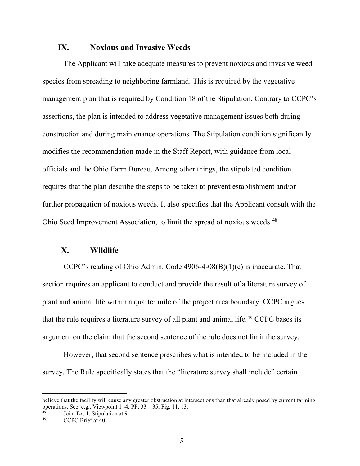#### <span id="page-16-1"></span>**IX. Noxious and Invasive Weeds**

The Applicant will take adequate measures to prevent noxious and invasive weed species from spreading to neighboring farmland. This is required by the vegetative management plan that is required by Condition 18 of the Stipulation. Contrary to CCPC's assertions, the plan is intended to address vegetative management issues both during construction and during maintenance operations. The Stipulation condition significantly modifies the recommendation made in the Staff Report, with guidance from local officials and the Ohio Farm Bureau. Among other things, the stipulated condition requires that the plan describe the steps to be taken to prevent establishment and/or further propagation of noxious weeds. It also specifies that the Applicant consult with the Ohio Seed Improvement Association, to limit the spread of noxious weeds.<sup>[48](#page-16-3)</sup>

#### <span id="page-16-0"></span>**X. Wildlife**

CCPC's reading of Ohio Admin. Code 4906-4-08(B)(1)(c) is inaccurate. That section requires an applicant to conduct and provide the result of a literature survey of plant and animal life within a quarter mile of the project area boundary. CCPC argues that the rule requires a literature survey of all plant and animal life.<sup>[49](#page-16-2)</sup> CCPC bases its argument on the claim that the second sentence of the rule does not limit the survey.

However, that second sentence prescribes what is intended to be included in the survey. The Rule specifically states that the "literature survey shall include" certain

believe that the facility will cause any greater obstruction at intersections than that already posed by current farming operations. See, e.g., Viewpoint  $1 - 4$ , PP.  $33 - 35$ , Fig. 11, 13.

<span id="page-16-3"></span><span id="page-16-2"></span> $^{48}$  Joint Ex. 1, Stipulation at 9.

CCPC Brief at 40.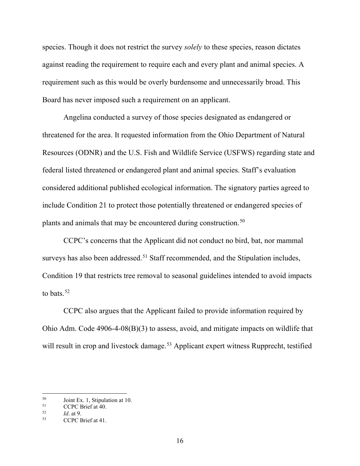species. Though it does not restrict the survey *solely* to these species, reason dictates against reading the requirement to require each and every plant and animal species. A requirement such as this would be overly burdensome and unnecessarily broad. This Board has never imposed such a requirement on an applicant.

Angelina conducted a survey of those species designated as endangered or threatened for the area. It requested information from the Ohio Department of Natural Resources (ODNR) and the U.S. Fish and Wildlife Service (USFWS) regarding state and federal listed threatened or endangered plant and animal species. Staff's evaluation considered additional published ecological information. The signatory parties agreed to include Condition 21 to protect those potentially threatened or endangered species of plants and animals that may be encountered during construction.<sup>[50](#page-17-2)</sup>

CCPC's concerns that the Applicant did not conduct no bird, bat, nor mammal surveys has also been addressed.<sup>[51](#page-17-3)</sup> Staff recommended, and the Stipulation includes, Condition 19 that restricts tree removal to seasonal guidelines intended to avoid impacts to bats.  $52$ 

CCPC also argues that the Applicant failed to provide information required by Ohio Adm. Code 4906-4-08(B)(3) to assess, avoid, and mitigate impacts on wildlife that will result in crop and livestock damage.<sup>[53](#page-17-1)</sup> Applicant expert witness Rupprecht, testified

<span id="page-17-2"></span> $^{50}$  Joint Ex. 1, Stipulation at 10.<br> $^{51}$  CCDC Priof at 40.

<span id="page-17-3"></span> $^{51}$  CCPC Brief at 40.

<span id="page-17-0"></span> $\frac{52}{53}$  *Id.* at 9.

<span id="page-17-1"></span>CCPC Brief at 41.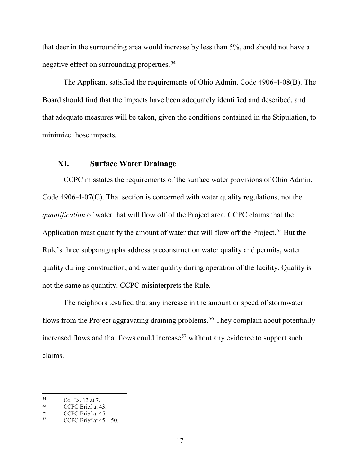that deer in the surrounding area would increase by less than 5%, and should not have a negative effect on surrounding properties.[54](#page-18-3)

The Applicant satisfied the requirements of Ohio Admin. Code 4906-4-08(B). The Board should find that the impacts have been adequately identified and described, and that adequate measures will be taken, given the conditions contained in the Stipulation, to minimize those impacts.

# <span id="page-18-0"></span>**XI. Surface Water Drainage**

CCPC misstates the requirements of the surface water provisions of Ohio Admin. Code 4906-4-07(C). That section is concerned with water quality regulations, not the *quantification* of water that will flow off of the Project area. CCPC claims that the Application must quantify the amount of water that will flow off the Project.<sup>[55](#page-18-4)</sup> But the Rule's three subparagraphs address preconstruction water quality and permits, water quality during construction, and water quality during operation of the facility. Quality is not the same as quantity. CCPC misinterprets the Rule.

The neighbors testified that any increase in the amount or speed of stormwater flows from the Project aggravating draining problems.<sup>[56](#page-18-1)</sup> They complain about potentially increased flows and that flows could increase<sup>[57](#page-18-2)</sup> without any evidence to support such claims.

<span id="page-18-3"></span> $5^5$  Co. Ex. 13 at 7.<br>CCPC Brief at 4

<span id="page-18-4"></span><span id="page-18-1"></span><sup>&</sup>lt;sup>55</sup> CCPC Brief at 43.<br>
<sup>56</sup> CCPC Brief at 45.<br>
<sup>57</sup> CCPC Brief at 45 – 50.

<span id="page-18-2"></span>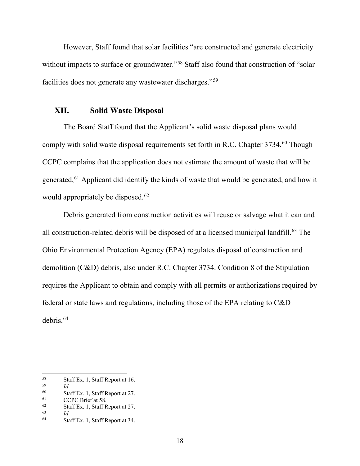However, Staff found that solar facilities "are constructed and generate electricity without impacts to surface or groundwater."<sup>[58](#page-19-5)</sup> Staff also found that construction of "solar" facilities does not generate any wastewater discharges."[59](#page-19-6)

#### <span id="page-19-0"></span>**XII. Solid Waste Disposal**

The Board Staff found that the Applicant's solid waste disposal plans would comply with solid waste disposal requirements set forth in R.C. Chapter 3734.<sup>[60](#page-19-7)</sup> Though CCPC complains that the application does not estimate the amount of waste that will be generated,<sup>[61](#page-19-4)</sup> Applicant did identify the kinds of waste that would be generated, and how it would appropriately be disposed.<sup>[62](#page-19-1)</sup>

Debris generated from construction activities will reuse or salvage what it can and all construction-related debris will be disposed of at a licensed municipal landfill.<sup>[63](#page-19-2)</sup> The Ohio Environmental Protection Agency (EPA) regulates disposal of construction and demolition (C&D) debris, also under R.C. Chapter 3734. Condition 8 of the Stipulation requires the Applicant to obtain and comply with all permits or authorizations required by federal or state laws and regulations, including those of the EPA relating to C&D debris.[64](#page-19-3)

<span id="page-19-5"></span><sup>58</sup> <sup>58</sup> Staff Ex. 1, Staff Report at 16.<br> $\frac{59}{1}$ 

<span id="page-19-6"></span> $\begin{array}{ccc} 59 & \text{Id.} \\ 60 & \text{St}_2 \end{array}$ 

<span id="page-19-7"></span><sup>&</sup>lt;sup>60</sup> Staff Ex. 1, Staff Report at 27.<br>
CCPC Brief at 58

<span id="page-19-4"></span> $^{61}$  CCPC Brief at 58.<br> $^{62}$  Staff Ex 1 Staff R

<span id="page-19-1"></span> $^{62}$  Staff Ex. 1, Staff Report at 27.

<span id="page-19-2"></span> $\begin{array}{ccc} 63 & \text{Id.} \\ 64 & \text{St}_2 \end{array}$ 

<span id="page-19-3"></span>Staff Ex. 1, Staff Report at 34.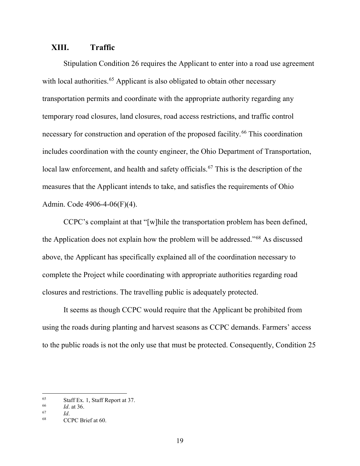#### <span id="page-20-0"></span>**XIII. Traffic**

Stipulation Condition 26 requires the Applicant to enter into a road use agreement with local authorities.<sup>[65](#page-20-3)</sup> Applicant is also obligated to obtain other necessary transportation permits and coordinate with the appropriate authority regarding any temporary road closures, land closures, road access restrictions, and traffic control necessary for construction and operation of the proposed facility.<sup>[66](#page-20-4)</sup> This coordination includes coordination with the county engineer, the Ohio Department of Transportation, local law enforcement, and health and safety officials.<sup>[67](#page-20-1)</sup> This is the description of the measures that the Applicant intends to take, and satisfies the requirements of Ohio Admin. Code 4906-4-06(F)(4).

CCPC's complaint at that "[w]hile the transportation problem has been defined, the Application does not explain how the problem will be addressed."[68](#page-20-2) As discussed above, the Applicant has specifically explained all of the coordination necessary to complete the Project while coordinating with appropriate authorities regarding road closures and restrictions. The travelling public is adequately protected.

It seems as though CCPC would require that the Applicant be prohibited from using the roads during planting and harvest seasons as CCPC demands. Farmers' access to the public roads is not the only use that must be protected. Consequently, Condition 25

<span id="page-20-3"></span><sup>&</sup>lt;sup>65</sup> Staff Ex. 1, Staff Report at 37.<br> $\frac{66}{16}$  at 36

<span id="page-20-4"></span> $\frac{66}{67}$  *Id.* at 36.

<span id="page-20-1"></span> $\begin{array}{cc} 67 & \text{Id.} \\ 68 & \text{CG.} \end{array}$ 

<span id="page-20-2"></span>CCPC Brief at 60.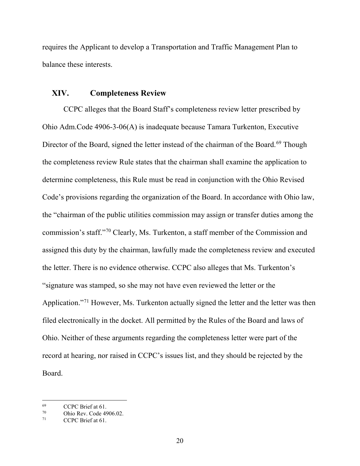requires the Applicant to develop a Transportation and Traffic Management Plan to balance these interests.

#### <span id="page-21-0"></span>**XIV. Completeness Review**

CCPC alleges that the Board Staff's completeness review letter prescribed by Ohio Adm.Code 4906-3-06(A) is inadequate because Tamara Turkenton, Executive Director of the Board, signed the letter instead of the chairman of the Board.<sup>[69](#page-21-3)</sup> Though the completeness review Rule states that the chairman shall examine the application to determine completeness, this Rule must be read in conjunction with the Ohio Revised Code's provisions regarding the organization of the Board. In accordance with Ohio law, the "chairman of the public utilities commission may assign or transfer duties among the commission's staff."[70](#page-21-2) Clearly, Ms. Turkenton, a staff member of the Commission and assigned this duty by the chairman, lawfully made the completeness review and executed the letter. There is no evidence otherwise. CCPC also alleges that Ms. Turkenton's "signature was stamped, so she may not have even reviewed the letter or the Application."<sup>[71](#page-21-1)</sup> However, Ms. Turkenton actually signed the letter and the letter was then filed electronically in the docket. All permitted by the Rules of the Board and laws of Ohio. Neither of these arguments regarding the completeness letter were part of the record at hearing, nor raised in CCPC's issues list, and they should be rejected by the Board.

<span id="page-21-3"></span>l  $^{69}$  CCPC Brief at 61.

<span id="page-21-2"></span><span id="page-21-1"></span> $^{70}$  Ohio Rev. Code 4906.02.<br>
CCPC Brief at 61.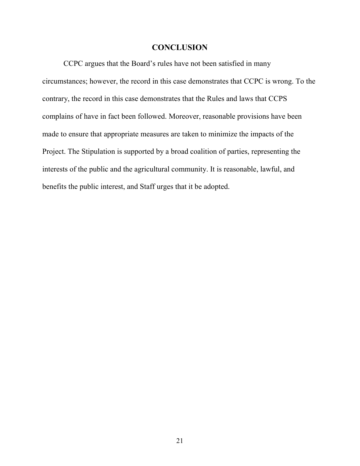# **CONCLUSION**

<span id="page-22-0"></span>CCPC argues that the Board's rules have not been satisfied in many circumstances; however, the record in this case demonstrates that CCPC is wrong. To the contrary, the record in this case demonstrates that the Rules and laws that CCPS complains of have in fact been followed. Moreover, reasonable provisions have been made to ensure that appropriate measures are taken to minimize the impacts of the Project. The Stipulation is supported by a broad coalition of parties, representing the interests of the public and the agricultural community. It is reasonable, lawful, and benefits the public interest, and Staff urges that it be adopted.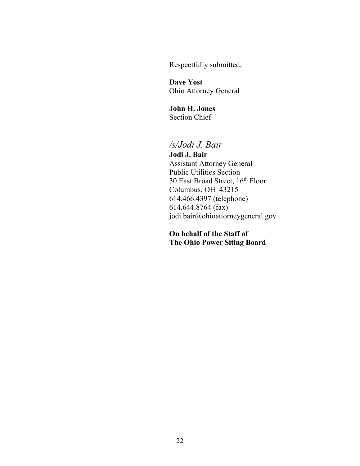Respectfully submitted,

**Dave Yost** Ohio Attorney General

**John H. Jones** Section Chief

# */s/Jodi J. Bair*

**Jodi J. Bair** Assistant Attorney General Public Utilities Section 30 East Broad Street, 16th Floor Columbus, OH 43215 614.466.4397 (telephone) 614.644.8764 (fax) [jodi.bair@ohioattorneygeneral.gov](mailto:jodi.bair@ohioattorneygeneral.gov)

**On behalf of the Staff of The Ohio Power Siting Board**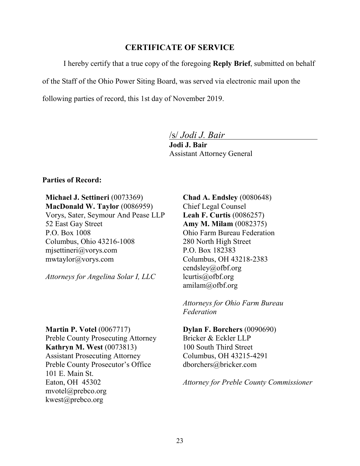## **CERTIFICATE OF SERVICE**

<span id="page-24-0"></span>I hereby certify that a true copy of the foregoing **Reply Brief**, submitted on behalf

of the Staff of the Ohio Power Siting Board, was served via electronic mail upon the

following parties of record, this 1st day of November 2019.

/s/ *Jodi J. Bair*

**Jodi J. Bair** Assistant Attorney General

#### **Parties of Record:**

**Michael J. Settineri** (0073369) **MacDonald W. Taylor** (0086959)

Vorys, Sater, Seymour And Pease LLP 52 East Gay Street P.O. Box 1008 Columbus, Ohio 43216-1008 [mjsettineri@vorys.com](mailto:mjsettineri@vorys.com) [mwtaylor@vorys.com](mailto:mwtaylor@vorys.com)

*Attorneys for Angelina Solar I, LLC*

**Martin P. Votel** (0067717) Preble County Prosecuting Attorney **Kathryn M. West** (0073813) Assistant Prosecuting Attorney Preble County Prosecutor's Office 101 E. Main St. Eaton, OH 45302 mvotel@prebco.org [kwest@prebco.org](mailto:kwest@prebco.org)

**Chad A. Endsley** (0080648) Chief Legal Counsel **Leah F. Curtis** (0086257) **Amy M. Milam** (0082375) Ohio Farm Bureau Federation 280 North High Street P.O. Box 182383 Columbus, OH 43218-2383 [cendsley@ofbf.org](mailto:cendsley@ofbf.org) [lcurtis@ofbf.org](mailto:lcurtis@ofbf.org) [amilam@ofbf.org](mailto:amilam@ofbf.org)

*Attorneys for Ohio Farm Bureau Federation*

**Dylan F. Borchers** (0090690) Bricker & Eckler LLP 100 South Third Street Columbus, OH 43215-4291 [dborchers@bricker.com](mailto:dborchers@bricker.com)

*Attorney for Preble County Commissioner*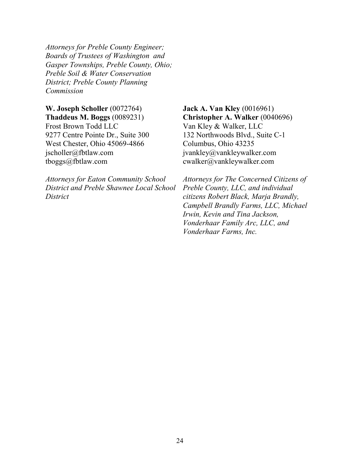*Attorneys for Preble County Engineer; Boards of Trustees of Washington and Gasper Townships, Preble County, Ohio; Preble Soil & Water Conservation District; Preble County Planning Commission*

**W. Joseph Scholler** (0072764) **Thaddeus M. Boggs** (0089231) Frost Brown Todd LLC 9277 Centre Pointe Dr., Suite 300 West Chester, Ohio 45069-4866 [jscholler@fbtlaw.com](mailto:jscholler@fbtlaw.com) [tboggs@fbtlaw.com](mailto:tboggs@fbtlaw.com)

*Attorneys for Eaton Community School District and Preble Shawnee Local School District*

**Jack A. Van Kley** (0016961) **Christopher A. Walker** (0040696) Van Kley & Walker, LLC 132 Northwoods Blvd., Suite C-1 Columbus, Ohio 43235 jvankley@vankleywalker.com cwalker@vankleywalker.com

*Attorneys for The Concerned Citizens of Preble County, LLC, and individual citizens Robert Black, Marja Brandly, Campbell Brandly Farms, LLC, Michael Irwin, Kevin and Tina Jackson, Vonderhaar Family Arc, LLC, and Vonderhaar Farms, Inc.*